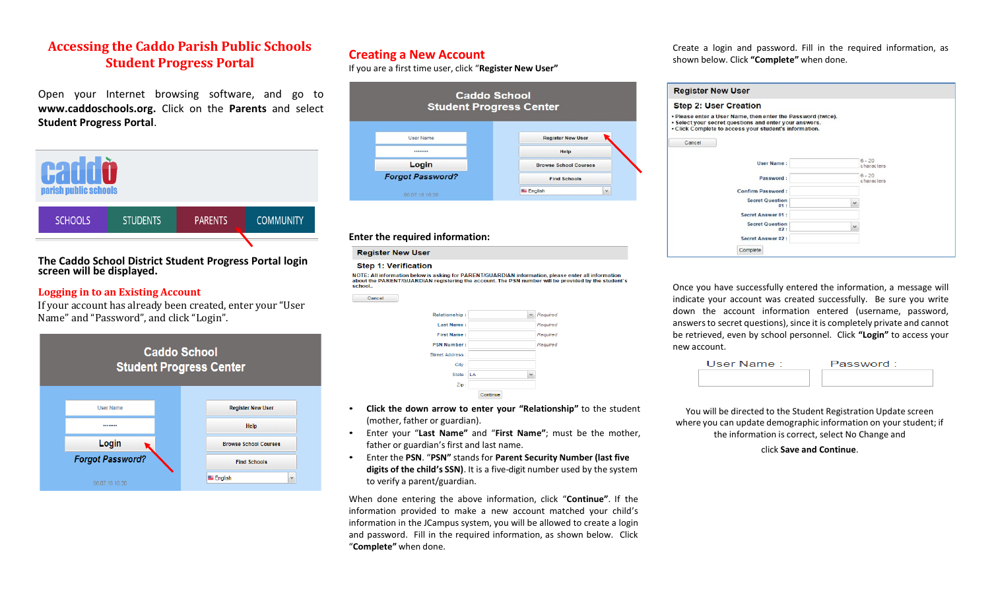## **Accessing the Caddo Parish Public Schools Student Progress Portal**

Open your Internet browsing software, and go to **[www.caddoschools.org.](http://www.caddoschools.org/)** Click on the **Parents** and select **Student Progress Portal**.



### **The Caddo School District Student Progress Portal login screen will be displayed.**

### **Logging in to an Existing Account**

If your account has already been created, enter your "User Name" and "Password", and click "Login".



## **Creating a New Account**

If you are a first time user, click "**Register New User"**

| <b>Caddo School</b><br><b>Student Progress Center</b> |                                   |  |
|-------------------------------------------------------|-----------------------------------|--|
| User Name                                             | <b>Register New User</b>          |  |
|                                                       | Help                              |  |
| Login                                                 | <b>Browse School Courses</b>      |  |
| <b>Forgot Password?</b>                               | <b>Find Schools</b>               |  |
| 06.07.18 10:30                                        | <b>EL</b> English<br>$\checkmark$ |  |

### **Enter the required information:**

#### **Register New User**

**Cancel** 

#### **Step 1: Verification**

NOTE: All information below is asking for PARENT/GUARDIAN information, please enter all information about the PARENT/GUARDIAN registering the account. The PSN number will be provided by the student's school...

| <b>Relationship:</b> | $\sim$       | Required |
|----------------------|--------------|----------|
| <b>Last Name:</b>    |              | Required |
| <b>First Name:</b>   |              | Required |
| <b>PSN Number:</b>   |              | Required |
| Street Address:      |              |          |
| City:                |              |          |
| State: LA            | $\checkmark$ |          |
| Zip:                 |              |          |
|                      | Continue     |          |

- **Click the down arrow to enter your "Relationship"** to the student (mother, father or guardian).
- Enter your "**Last Name"** and "**First Name"**; must be the mother, father or guardian's first and last name.
- Enter the **PSN**. "**PSN"** standsfor **Parent Security Number (last five digits of the child's SSN)**. It is a five-digit number used by the system to verify a parent/guardian.

When done entering the above information, click "**Continue"**. If the information provided to make a new account matched your child's information in the JCampus system, you will be allowed to create a login and password. Fill in the required information, as shown below. Click "**Complete"** when done.

Create a login and password. Fill in the required information, as shown below. Click **"Complete"** when done.

| <b>Register New User</b>                                                                                                                                                         |              |                        |
|----------------------------------------------------------------------------------------------------------------------------------------------------------------------------------|--------------|------------------------|
| <b>Step 2: User Creation</b>                                                                                                                                                     |              |                        |
| . Please enter a User Name, then enter the Password (twice).<br>· Select your secret questions and enter your answers.<br>. Click Complete to access your student's information. |              |                        |
| Cancel                                                                                                                                                                           |              |                        |
| <b>User Name:</b>                                                                                                                                                                |              | $6 - 20$<br>characters |
| Password:                                                                                                                                                                        |              | $6 - 20$<br>characters |
| Confirm Password:                                                                                                                                                                |              |                        |
| <b>Secret Question</b><br>#1:                                                                                                                                                    | $\checkmark$ |                        |
| Secret Answer#1:                                                                                                                                                                 |              |                        |
| <b>Secret Question</b><br>#2:                                                                                                                                                    | $\checkmark$ |                        |
| Secret Answer#2:                                                                                                                                                                 |              |                        |
| Complete                                                                                                                                                                         |              |                        |

Once you have successfully entered the information, a message will indicate your account was created successfully. Be sure you write down the account information entered (username, password, answers to secret questions), since it is completely private and cannot be retrieved, even by school personnel. Click **"Login"** to access your new account.

| Password: |
|-----------|
|           |
|           |

You will be directed to the Student Registration Update screen where you can update demographic information on your student; if the information is correct, select No Change and

click **Save and Continue**.